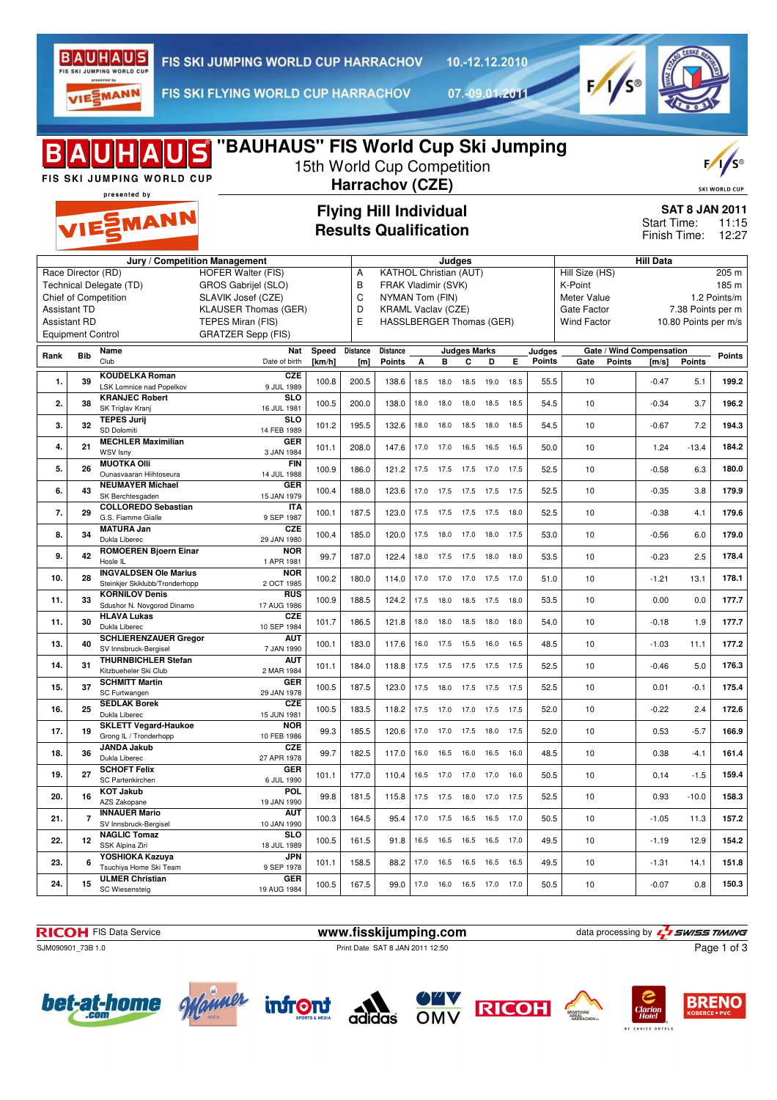

10.-12.12.2010

VIESMANN

FIS SKI FLYING WORLD CUP HARRACHOV

07.-09.01.2011



| <b>IDS</b> "BAUHAUS" FIS World Cup Ski Jumping<br>15th World Cup Competition<br>FIS SKI JUMPING WORLD CUP<br>Harrachov (CZE)<br>presented by |                                    |                                                          |                             |        |                                                                  |                          |                                                               |                              |                     | <b>SKI WORLD CUP</b> |      |        |                          |                      |               |                                                                        |  |  |
|----------------------------------------------------------------------------------------------------------------------------------------------|------------------------------------|----------------------------------------------------------|-----------------------------|--------|------------------------------------------------------------------|--------------------------|---------------------------------------------------------------|------------------------------|---------------------|----------------------|------|--------|--------------------------|----------------------|---------------|------------------------------------------------------------------------|--|--|
|                                                                                                                                              | VIESMANN                           |                                                          |                             |        |                                                                  |                          | <b>Flying Hill Individual</b><br><b>Results Qualification</b> |                              |                     |                      |      |        |                          |                      |               | <b>SAT 8 JAN 2011</b><br>Start Time:<br>11:15<br>Finish Time:<br>12:27 |  |  |
|                                                                                                                                              | Jury / Competition Management      |                                                          |                             |        |                                                                  |                          |                                                               | Judges                       |                     |                      |      |        |                          | <b>Hill Data</b>     |               |                                                                        |  |  |
| Race Director (RD)                                                                                                                           |                                    |                                                          | <b>HOFER Walter (FIS)</b>   |        | Hill Size (HS)<br><b>KATHOL Christian (AUT)</b><br>Α             |                          |                                                               |                              |                     |                      |      |        |                          | 205 m                |               |                                                                        |  |  |
| Technical Delegate (TD)<br>GROS Gabrijel (SLO)                                                                                               |                                    |                                                          |                             |        | B<br>FRAK Vladimir (SVK)<br>K-Point                              |                          |                                                               |                              |                     |                      |      |        |                          |                      |               | 185 m                                                                  |  |  |
|                                                                                                                                              |                                    | Chief of Competition                                     | SLAVIK Josef (CZE)          |        | C<br>NYMAN Tom (FIN)<br>Meter Value<br><b>KRAML Vaclav (CZE)</b> |                          |                                                               |                              |                     |                      |      |        |                          |                      | 1.2 Points/m  |                                                                        |  |  |
| <b>Assistant TD</b>                                                                                                                          |                                    |                                                          | <b>KLAUSER Thomas (GER)</b> |        | D                                                                |                          |                                                               |                              |                     |                      |      |        | Gate Factor              | 7.38 Points per m    |               |                                                                        |  |  |
| <b>Assistant RD</b>                                                                                                                          |                                    |                                                          | TEPES Miran (FIS)           |        | E                                                                | HASSLBERGER Thomas (GER) |                                                               |                              |                     |                      |      |        | <b>Wind Factor</b>       | 10.80 Points per m/s |               |                                                                        |  |  |
| <b>Equipment Control</b>                                                                                                                     |                                    |                                                          | <b>GRATZER Sepp (FIS)</b>   |        |                                                                  |                          |                                                               |                              |                     |                      |      |        |                          |                      |               |                                                                        |  |  |
| Rank                                                                                                                                         | <b>Bib</b>                         | Name                                                     | Nat                         | Speed  | <b>Distance</b>                                                  | Distance                 |                                                               |                              | <b>Judges Marks</b> |                      |      | Judges | Gate / Wind Compensation |                      |               | Points                                                                 |  |  |
|                                                                                                                                              |                                    | Club                                                     | Date of birth               | [km/h] | [m]                                                              | <b>Points</b>            | А                                                             | в                            | C                   | D                    | Е    | Points | Gate<br>Points           | [m/s]                | <b>Points</b> |                                                                        |  |  |
| 1.                                                                                                                                           | 39                                 | <b>KOUDELKA Roman</b><br><b>LSK Lomnice nad Popelkov</b> | <b>CZE</b><br>9 JUL 1989    | 100.8  | 200.5                                                            | 138.6                    | 18.5                                                          | 18.0                         | 18.5                | 19.0                 | 18.5 | 55.5   | 10                       | $-0.47$              | 5.1           | 199.2                                                                  |  |  |
|                                                                                                                                              |                                    | <b>KRANJEC Robert</b>                                    | <b>SLO</b>                  |        |                                                                  |                          |                                                               |                              |                     |                      |      |        |                          |                      |               |                                                                        |  |  |
| 2.                                                                                                                                           | 38                                 | SK Triglav Kranj                                         | 16 JUL 1981                 | 100.5  | 200.0                                                            | 138.0                    | 18.0                                                          | 18.0                         | 18.0                | 18.5                 | 18.5 | 54.5   | 10                       | $-0.34$              | 3.7           | 196.2                                                                  |  |  |
| 3.                                                                                                                                           | 32                                 | <b>TEPES Jurij</b>                                       | <b>SLO</b>                  | 101.2  | 195.5                                                            | 132.6                    | 18.0                                                          | 18.0                         | 18.5 18.0           |                      | 18.5 | 54.5   | 10                       | $-0.67$              | 7.2           | 194.3                                                                  |  |  |
|                                                                                                                                              |                                    | SD Dolomiti<br><b>MECHLER Maximilian</b>                 | 14 FEB 1989                 |        |                                                                  |                          |                                                               |                              |                     |                      |      |        |                          |                      |               |                                                                        |  |  |
| 4.                                                                                                                                           | 21                                 | WSV Isny                                                 | GER<br>3 JAN 1984           | 101.1  | 208.0                                                            | 147.6                    |                                                               | 17.0 17.0                    | 16.5 16.5 16.5      |                      |      | 50.0   | 10                       | 1.24                 | $-13.4$       | 184.2                                                                  |  |  |
|                                                                                                                                              | 26                                 | <b>MUOTKA Olli</b>                                       | <b>FIN</b>                  |        |                                                                  |                          |                                                               |                              |                     |                      | 17.5 |        | 10                       |                      |               |                                                                        |  |  |
| 5.                                                                                                                                           |                                    | Ounasyaaran Hiihtoseura                                  | 14 JUL 1988                 | 100.9  | 186.0                                                            | 121.2                    | 17.5                                                          | 17.5                         | 17.5 17.0           |                      |      | 52.5   |                          | $-0.58$              | 6.3           | 180.0                                                                  |  |  |
| 6.                                                                                                                                           | 43                                 | <b>NEUMAYER Michael</b>                                  | <b>GER</b>                  | 100.4  | 188.0                                                            | 123.6                    | 17.0                                                          | 17.5                         | 17.5 17.5 17.5      |                      |      | 52.5   | 10                       | $-0.35$              | 3.8           | 179.9                                                                  |  |  |
|                                                                                                                                              |                                    | SK Berchtesgaden<br><b>COLLOREDO Sebastian</b>           | 15 JAN 1979<br><b>ITA</b>   |        |                                                                  |                          |                                                               |                              |                     |                      |      |        |                          |                      |               |                                                                        |  |  |
| 7.                                                                                                                                           | 29                                 | G.S. Fiamme Gialle                                       | 9 SEP 1987                  | 100.1  | 187.5                                                            | 123.0                    |                                                               | 17.5 17.5                    | 17.5 17.5 18.0      |                      |      | 52.5   | 10                       | $-0.38$              | 4.1           | 179.6                                                                  |  |  |
| 8.                                                                                                                                           | 34                                 | <b>MATURA Jan</b>                                        | <b>CZE</b>                  | 100.4  | 185.0                                                            | 120.0                    | 17.5                                                          | 18.0                         | 17.0 18.0           |                      | 17.5 | 53.0   | 10                       | $-0.56$              | 6.0           | 179.0                                                                  |  |  |
|                                                                                                                                              |                                    | Dukla Liberec<br><b>ROMOEREN Bjoern Einar</b>            | 29 JAN 1980<br><b>NOR</b>   |        |                                                                  |                          |                                                               |                              |                     |                      |      |        |                          |                      |               |                                                                        |  |  |
| 9.                                                                                                                                           | 42                                 | Hosle IL                                                 | 1 APR 1981                  | 99.7   | 187.0                                                            | 122.4                    | 18.0                                                          | 17.5                         | 17.5 18.0           |                      | 18.0 | 53.5   | 10                       | $-0.23$              | 2.5           | 178.4                                                                  |  |  |
| 10.                                                                                                                                          | <b>INGVALDSEN Ole Marius</b><br>28 |                                                          | <b>NOR</b>                  | 100.2  | 180.0                                                            | 114.0                    | 17.0                                                          | 17.0                         | 17.0                | 17.5                 | 17.0 | 51.0   | 10                       | $-1.21$              | 13.1          | 178.1                                                                  |  |  |
|                                                                                                                                              |                                    | Steinkjer Skiklubb/Tronderhopp                           | 2 OCT 1985                  |        |                                                                  |                          |                                                               |                              |                     |                      |      |        |                          |                      |               |                                                                        |  |  |
| 11.                                                                                                                                          | 33                                 | <b>KORNILOV Denis</b><br>Sdushor N. Novgorod Dinamo      | <b>RUS</b><br>17 AUG 1986   | 100.9  | 188.5                                                            | 124.2                    | 17.5                                                          | 18.0                         | 18.5                | 17.5                 | 18.0 | 53.5   | 10                       | 0.00                 | 0.0           | 177.7                                                                  |  |  |
| 11.                                                                                                                                          | 30                                 | <b>HLAVA Lukas</b>                                       | <b>CZE</b>                  | 101.7  | 186.5                                                            | 121.8                    | 18.0                                                          | 18.0                         | 18.5                | 18.0                 | 18.0 | 54.0   | 10                       | $-0.18$              | 1.9           | 177.7                                                                  |  |  |
|                                                                                                                                              |                                    | Dukla Liberec                                            | 10 SEP 1984<br><b>AUT</b>   |        |                                                                  |                          |                                                               |                              |                     |                      |      |        |                          |                      |               |                                                                        |  |  |
| 13.                                                                                                                                          | 40                                 | <b>SCHLIERENZAUER Gregor</b><br>SV Innsbruck-Bergisel    | 100.1                       | 183.0  | 117.6                                                            |                          | 16.0 17.5                                                     |                              |                     | 15.5 16.0 16.5       | 48.5 | 10     | $-1.03$                  | 11.1                 | 177.2         |                                                                        |  |  |
|                                                                                                                                              |                                    | <b>THURNBICHLER Stefan</b>                               | 7 JAN 1990<br><b>AUT</b>    |        |                                                                  |                          |                                                               |                              |                     |                      |      |        |                          |                      |               |                                                                        |  |  |
| 14.                                                                                                                                          | 31                                 | Kitzbueheler Ski Club                                    | 2 MAR 1984                  | 101.1  | 184.0                                                            | 118.8                    | 17.5                                                          | 17.5                         | 17.5 17.5 17.5      |                      |      | 52.5   | 10                       | $-0.46$              | 5.0           | 176.3                                                                  |  |  |
| 15.                                                                                                                                          | 37                                 | <b>SCHMITT Martin</b><br>SC Furtwangen                   | <b>GER</b><br>29 JAN 1978   | 100.5  | 187.5                                                            | 123.0                    |                                                               | 17.5  18.0  17.5  17.5  17.5 |                     |                      |      | 52.5   | 10                       | 0.01                 | $-0.1$        | 175.4                                                                  |  |  |
|                                                                                                                                              |                                    | <b>SEDLAK Borek</b>                                      | <b>CZE</b>                  |        |                                                                  |                          |                                                               |                              |                     |                      |      |        |                          |                      |               |                                                                        |  |  |
| 16.                                                                                                                                          | 25                                 | Dukla Liberec                                            | 15 JUN 1981                 | 100.5  | 183.5                                                            | 118.2                    |                                                               | 17.5 17.0 17.0 17.5          |                     |                      | 17.5 | 52.0   | 10                       | 0.22                 | 2.4           | 172.6                                                                  |  |  |
| 17.                                                                                                                                          | 19                                 | <b>SKLETT Vegard-Haukoe</b>                              | <b>NOR</b>                  | 99.3   | 185.5                                                            | 120.6                    |                                                               | 17.0 17.0 17.5 18.0 17.5     |                     |                      |      | 52.0   | 10                       | 0.53                 | $-5.7$        | 166.9                                                                  |  |  |
|                                                                                                                                              |                                    | Grong IL / Tronderhopp<br><b>JANDA Jakub</b>             | 10 FEB 1986<br>CZE          |        |                                                                  |                          |                                                               |                              |                     |                      |      |        |                          |                      |               |                                                                        |  |  |
| 18.                                                                                                                                          | 36                                 | Dukla Liberec                                            | 27 APR 1978                 | 99.7   | 182.5                                                            | 117.0                    |                                                               | 16.0  16.5  16.0  16.5  16.0 |                     |                      |      | 48.5   | 10                       | 0.38                 | $-4.1$        | 161.4                                                                  |  |  |
| 19.                                                                                                                                          | 27                                 | <b>SCHOFT Felix</b>                                      | <b>GER</b>                  | 101.1  | 177.0                                                            | 110.4                    |                                                               | 16.5 17.0 17.0 17.0 16.0     |                     |                      |      | 50.5   | 10                       | 0.14                 | $-1.5$        | 159.4                                                                  |  |  |
|                                                                                                                                              |                                    | SC Partenkirchen                                         | 6 JUL 1990                  |        |                                                                  |                          |                                                               |                              |                     |                      |      |        |                          |                      |               |                                                                        |  |  |
| 20.                                                                                                                                          | 16                                 | <b>KOT Jakub</b><br>AZS Zakopane                         | POL<br>19 JAN 1990          | 99.8   | 181.5                                                            | 115.8                    |                                                               | 17.5 17.5 18.0 17.0 17.5     |                     |                      |      | 52.5   | 10                       | 0.93                 | $-10.0$       | 158.3                                                                  |  |  |
|                                                                                                                                              | $\overline{7}$                     | <b>INNAUER Mario</b>                                     | <b>AUT</b>                  |        |                                                                  |                          |                                                               |                              |                     |                      |      |        |                          |                      |               |                                                                        |  |  |
| 21.                                                                                                                                          |                                    | SV Innsbruck-Bergisel                                    | 10 JAN 1990                 | 100.3  | 164.5                                                            | 95.4                     |                                                               | 17.0  17.5  16.5  16.5  17.0 |                     |                      |      | 50.5   | 10                       | $-1.05$              | 11.3          | 157.2                                                                  |  |  |
| 22.                                                                                                                                          | 12                                 | <b>NAGLIC Tomaz</b><br>SSK Alpina Ziri                   | <b>SLO</b><br>18 JUL 1989   | 100.5  | 161.5                                                            | 91.8                     |                                                               | 16.5  16.5  16.5  16.5  17.0 |                     |                      |      | 49.5   | 10                       | $-1.19$              | 12.9          | 154.2                                                                  |  |  |
|                                                                                                                                              |                                    | YOSHIOKA Kazuya                                          | JPN                         |        |                                                                  |                          |                                                               |                              |                     |                      |      |        |                          |                      |               |                                                                        |  |  |
| 23.                                                                                                                                          | 6                                  | Tsuchiya Home Ski Team                                   | 9 SEP 1978                  | 101.1  | 158.5                                                            | 88.2                     |                                                               | 17.0  16.5  16.5  16.5  16.5 |                     |                      |      | 49.5   | 10                       | $-1.31$              | 14.1          | 151.8                                                                  |  |  |
| 24.                                                                                                                                          | 15                                 | <b>ULMER Christian</b>                                   | GER                         | 100.5  | 167.5                                                            | 99.0                     |                                                               | 17.0  16.0  16.5  17.0  17.0 |                     |                      |      | 50.5   | 10                       | $-0.07$              | 0.8           | 150.3                                                                  |  |  |
|                                                                                                                                              |                                    | <b>SC Wiesensteig</b>                                    | 19 AUG 1984                 |        |                                                                  |                          |                                                               |                              |                     |                      |      |        |                          |                      |               |                                                                        |  |  |

SJM090901\_73B 1.0 Print Date SAT 8 JAN 2011 12:50

**RICOH** FIS Data Service **www.fisskijumping.com** data processing by  $\frac{7}{2}$  SWISS TIMING Page 1 of 3







SPORTOVN







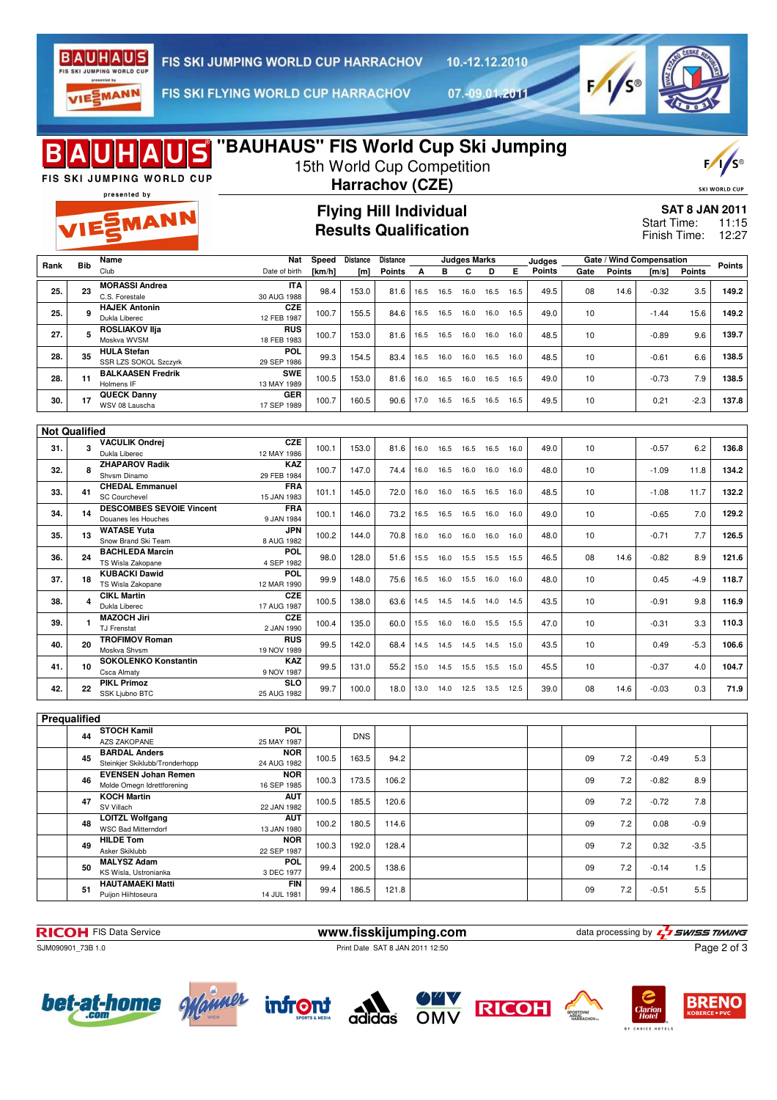

10.-12.12.2010

VIESMANN

FIS SKI FLYING WORLD CUP HARRACHOV

07.-09.01.2011



| <b>IDS</b> "BAUHAUS" FIS World Cup Ski Jumping<br>15th World Cup Competition<br>FIS SKI JUMPING WORLD CUP<br>Harrachov (CZE)<br><b>SKI WORLD CUF</b><br>presented by |            |                                                                    |                           |                                                               |                        |                    |      |           |                          |           |      |                  |      |                                                      |                                   |                |               |
|----------------------------------------------------------------------------------------------------------------------------------------------------------------------|------------|--------------------------------------------------------------------|---------------------------|---------------------------------------------------------------|------------------------|--------------------|------|-----------|--------------------------|-----------|------|------------------|------|------------------------------------------------------|-----------------------------------|----------------|---------------|
| VIESMANN                                                                                                                                                             |            |                                                                    |                           | <b>Flying Hill Individual</b><br><b>Results Qualification</b> |                        |                    |      |           |                          |           |      |                  |      | <b>SAT 8 JAN 2011</b><br>Start Time:<br>Finish Time: |                                   | 11:15<br>12:27 |               |
| Rank                                                                                                                                                                 | <b>Bib</b> | Name<br>Club                                                       | Nat<br>Date of birth      | Speed<br>[km/h]                                               | <b>Distance</b><br>[m] | Distance<br>Points | A    | в         | <b>Judges Marks</b><br>C | D         | Е.   | Judges<br>Points | Gate | Points                                               | Gate / Wind Compensation<br>[m/s] | <b>Points</b>  | <b>Points</b> |
| 25.                                                                                                                                                                  | 23         | <b>MORASSI Andrea</b><br>C.S. Forestale                            | <b>ITA</b><br>30 AUG 1988 | 98.4                                                          | 153.0                  | 81.6               | 16.5 | 16.5      | 16.0                     | 16.5      | 16.5 | 49.5             | 08   | 14.6                                                 | $-0.32$                           | 3.5            | 149.2         |
| 25.                                                                                                                                                                  | 9          | <b>HAJEK Antonin</b><br><b>CZE</b><br>Dukla Liberec<br>12 FEB 1987 |                           | 100.7                                                         | 155.5                  | 84.6               | 16.5 | 16.5      | 16.0                     | 16.0      | 16.5 | 49.0             | 10   |                                                      | $-1.44$                           | 15.6           | 149.2         |
| 27.                                                                                                                                                                  | 5          | <b>ROSLIAKOV IIja</b><br>Moskva WVSM                               | <b>RUS</b><br>18 FEB 1983 | 100.7                                                         | 153.0                  | 81.6               | 16.5 | 16.5      | 16.0                     | 16.0      | 16.0 | 48.5             | 10   |                                                      | -0.89                             | 9.6            | 139.7         |
| 28.                                                                                                                                                                  | 35         | <b>HULA</b> Stefan<br>POL<br>SSR LZS SOKOL Szczyrk<br>29 SEP 1986  |                           | 99.3                                                          | 154.5                  | 83.4               | 16.5 | 16.0      | 16.0                     | 16.5      | 16.0 | 48.5             | 10   |                                                      | $-0.61$                           | 6.6            | 138.5         |
| 28.                                                                                                                                                                  | 11         | <b>BALKAASEN Fredrik</b><br>Holmens IF                             | <b>SWE</b><br>13 MAY 1989 | 100.5                                                         | 153.0                  | 81.6               | 16.0 | 16.5      | 16.0                     | 16.5      | 16.5 | 49.0             | 10   |                                                      | $-0.73$                           | 7.9            | 138.5         |
| 30.                                                                                                                                                                  | 17         | <b>QUECK Danny</b><br>WSV 08 Lauscha                               | <b>GER</b><br>17 SEP 1989 | 100.7                                                         | 160.5                  | 90.6               |      | 17.0 16.5 | 16.5 16.5 16.5           |           |      | 49.5             | 10   |                                                      | 0.21                              | $-2.3$         | 137.8         |
| <b>Not Qualified</b>                                                                                                                                                 |            |                                                                    |                           |                                                               |                        |                    |      |           |                          |           |      |                  |      |                                                      |                                   |                |               |
| 31.                                                                                                                                                                  | 3          | <b>VACULIK Ondrei</b><br>Dukla Liberec                             | <b>CZE</b><br>12 MAY 1986 | 100.1                                                         | 153.0                  | 81.6               | 16.0 | 16.5      | 16.5 16.5 16.0           |           |      | 49.0             | 10   |                                                      | $-0.57$                           | 6.2            | 136.8         |
| 32.                                                                                                                                                                  | 8          | <b>ZHAPAROV Radik</b><br>Shysm Dinamo                              | <b>KAZ</b><br>29 FEB 1984 | 100.7                                                         | 147.0                  | 74.4               | 16.0 | 16.5      | 16.0                     | 16.0      | 16.0 | 48.0             | 10   |                                                      | $-1.09$                           | 11.8           | 134.2         |
| 33.                                                                                                                                                                  | 41         | <b>CHEDAL Emmanuel</b><br><b>SC Courchevel</b>                     | <b>FRA</b><br>15 JAN 1983 | 101.1                                                         | 145.0                  | 72.0               | 16.0 | 16.0      | 16.5                     | 16.5      | 16.0 | 48.5             | 10   |                                                      | $-1.08$                           | 11.7           | 132.2         |
| 34.                                                                                                                                                                  | 14         | <b>DESCOMBES SEVOIE Vincent</b><br>Douanes les Houches             | <b>FRA</b><br>9 JAN 1984  | 100.1                                                         | 146.0                  | 73.2               | 16.5 | 16.5      | 16.5                     | 16.0      | 16.0 | 49.0             | 10   |                                                      | $-0.65$                           | 7.0            | 129.2         |
| 35.                                                                                                                                                                  | 13         | <b>WATASE Yuta</b><br>Snow Brand Ski Team                          | JPN<br>8 AUG 1982         | 100.2                                                         | 144.0                  | 70.8               | 16.0 | 16.0      | 16.0                     | 16.0      | 16.0 | 48.0             | 10   |                                                      | $-0.71$                           | 7.7            | 126.5         |
| 36.                                                                                                                                                                  | 24         | <b>BACHLEDA Marcin</b><br>TS Wisla Zakopane                        | <b>POL</b><br>4 SEP 1982  | 98.0                                                          | 128.0                  | 51.6               | 15.5 | 16.0      | 15.5                     | 15.5      | 15.5 | 46.5             | 08   | 14.6                                                 | $-0.82$                           | 8.9            | 121.6         |
| 37.                                                                                                                                                                  | 18         | <b>KUBACKI Dawid</b><br>TS Wisla Zakopane                          | POL<br>12 MAR 1990        | 99.9                                                          | 148.0                  | 75.6               | 16.5 | 16.0      | 15.5                     | 16.0      | 16.0 | 48.0             | 10   |                                                      | 0.45                              | $-4.9$         | 118.7         |
| 38.                                                                                                                                                                  | 4          | <b>CIKL Martin</b><br>Dukla Liberec                                | <b>CZE</b><br>17 AUG 1987 | 100.5                                                         | 138.0                  | 63.6               | 14.5 | 14.5      | 14.5                     | 14.0      | 14.5 | 43.5             | 10   |                                                      | $-0.91$                           | 9.8            | 116.9         |
| 39.                                                                                                                                                                  |            | <b>MAZOCH Jiri</b><br><b>TJ Frenstat</b>                           | <b>CZE</b><br>2 JAN 1990  | 100.4                                                         | 135.0                  | 60.0               | 15.5 | 16.0      | 16.0                     | 15.5      | 15.5 | 47.0             | 10   |                                                      | $-0.31$                           | 3.3            | 110.3         |
| 40.                                                                                                                                                                  | 20         | <b>TROFIMOV Roman</b><br>Moskva Shvsm                              | RUS<br>19 NOV 1989        | 99.5                                                          | 142.0                  | 68.4               | 14.5 | 14.5      | 14.5                     | 14.5 15.0 |      | 43.5             | 10   |                                                      | 0.49                              | $-5.3$         | 106.6         |
| 41.                                                                                                                                                                  | 10         | <b>SOKOLENKO Konstantin</b><br><b>Csca Almaty</b>                  | KAZ<br>9 NOV 1987         | 99.5                                                          | 131.0                  | 55.2               | 15.0 | 14.5      | 15.5                     | 15.5      | 15.0 | 45.5             | 10   |                                                      | $-0.37$                           | 4.0            | 104.7         |
| 42.                                                                                                                                                                  | 22         | <b>PIKL Primoz</b><br>SSK Ljubno BTC                               | <b>SLO</b><br>25 AUG 1982 | 99.7                                                          | 100.0                  | 18.0               | 13.0 | 14.0      | 12.5                     | 13.5      | 12.5 | 39.0             | 08   | 14.6                                                 | $-0.03$                           | 0.3            | 71.9          |
|                                                                                                                                                                      |            |                                                                    |                           |                                                               |                        |                    |      |           |                          |           |      |                  |      |                                                      |                                   |                |               |
| Prequalified                                                                                                                                                         | 44         | <b>STOCH Kamil</b>                                                 | POL                       |                                                               | <b>DNS</b>             |                    |      |           |                          |           |      |                  |      |                                                      |                                   |                |               |
|                                                                                                                                                                      | 45         | AZS ZAKOPANE<br><b>BARDAL Anders</b>                               | 25 MAY 1987<br><b>NOR</b> |                                                               |                        |                    |      |           |                          |           |      |                  |      |                                                      |                                   |                |               |
|                                                                                                                                                                      |            | Steinkjer Skiklubb/Tronderhopp<br><b>EVENSEN Johan Remen</b>       | 24 AUG 1982<br><b>NOR</b> | 100.5                                                         | 163.5                  | 94.2               |      |           |                          |           |      |                  | 09   | 7.2                                                  | $-0.49$                           | 5.3            |               |
|                                                                                                                                                                      | 46         | Molde Omegn Idrettforening<br><b>KOCH Martin</b>                   | 16 SEP 1985<br><b>AUT</b> | 100.3                                                         | 173.5                  | 106.2              |      |           |                          |           |      |                  | 09   | 7.2                                                  | $-0.82$                           | 8.9            |               |
|                                                                                                                                                                      | 47         | SV Villach<br><b>LOITZL Wolfgang</b>                               | 22 JAN 1982<br><b>AUT</b> | 100.5                                                         | 185.5                  | 120.6              |      |           |                          |           |      |                  | 09   | 7.2                                                  | $-0.72$                           | 7.8            |               |
|                                                                                                                                                                      | 48         | <b>WSC Bad Mitterndorf</b><br><b>HILDE Tom</b>                     | 13 JAN 1980<br><b>NOR</b> | 100.2                                                         | 180.5                  | 114.6              |      |           |                          |           |      |                  | 09   | 7.2                                                  | 0.08                              | $-0.9$         |               |
|                                                                                                                                                                      | 49         | Asker Skiklubb<br><b>MALYSZ Adam</b>                               | 22 SEP 1987<br>POL        | 100.3                                                         | 192.0                  | 128.4              |      |           |                          |           |      |                  | 09   | 7.2                                                  | 0.32                              | $-3.5$         |               |
|                                                                                                                                                                      | 50         | KS Wisla, Ustronianka<br><b>HAUTAMAEKI Matti</b>                   | 3 DEC 1977<br><b>FIN</b>  | 99.4                                                          | 200.5                  | 138.6              |      |           |                          |           |      |                  | 09   | 7.2                                                  | $-0.14$                           | 1.5            |               |
|                                                                                                                                                                      | 51         | Puijon Hiihtoseura                                                 | 14 JUL 1981               | 99.4                                                          | 186.5                  | 121.8              |      |           |                          |           |      |                  | 09   | 7.2                                                  | $-0.51$                           | 5.5            |               |

SJM090901\_73B 1.0 Print Date SAT 8 JAN 2011 12:50

**RICOH** FIS Data Service **www.fisskijumping.com** data processing by  $\frac{7}{2}$  SWISS TIMING Page 2 of 3